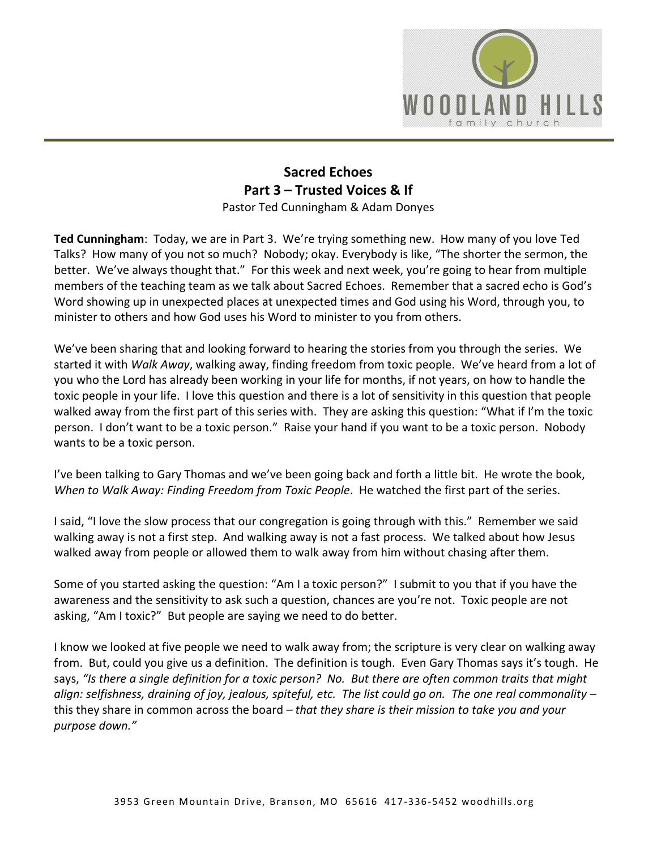

## **Sacred Echoes Part 3 – Trusted Voices & If** Pastor Ted Cunningham & Adam Donyes

**Ted Cunningham**: Today, we are in Part 3. We're trying something new. How many of you love Ted Talks? How many of you not so much? Nobody; okay. Everybody is like, "The shorter the sermon, the better. We've always thought that." For this week and next week, you're going to hear from multiple members of the teaching team as we talk about Sacred Echoes. Remember that a sacred echo is God's Word showing up in unexpected places at unexpected times and God using his Word, through you, to minister to others and how God uses his Word to minister to you from others.

We've been sharing that and looking forward to hearing the stories from you through the series. We started it with *Walk Away*, walking away, finding freedom from toxic people. We've heard from a lot of you who the Lord has already been working in your life for months, if not years, on how to handle the toxic people in your life. I love this question and there is a lot of sensitivity in this question that people walked away from the first part of this series with. They are asking this question: "What if I'm the toxic person. I don't want to be a toxic person." Raise your hand if you want to be a toxic person. Nobody wants to be a toxic person.

I've been talking to Gary Thomas and we've been going back and forth a little bit. He wrote the book, *When to Walk Away: Finding Freedom from Toxic People*. He watched the first part of the series.

I said, "I love the slow process that our congregation is going through with this." Remember we said walking away is not a first step. And walking away is not a fast process. We talked about how Jesus walked away from people or allowed them to walk away from him without chasing after them.

Some of you started asking the question: "Am I a toxic person?" I submit to you that if you have the awareness and the sensitivity to ask such a question, chances are you're not. Toxic people are not asking, "Am I toxic?" But people are saying we need to do better.

I know we looked at five people we need to walk away from; the scripture is very clear on walking away from. But, could you give us a definition. The definition is tough. Even Gary Thomas says it's tough. He says, *"Is there a single definition for a toxic person? No. But there are often common traits that might align: selfishness, draining of joy, jealous, spiteful, etc. The list could go on. The one real commonality –* this they share in common across the board *– that they share is their mission to take you and your purpose down."*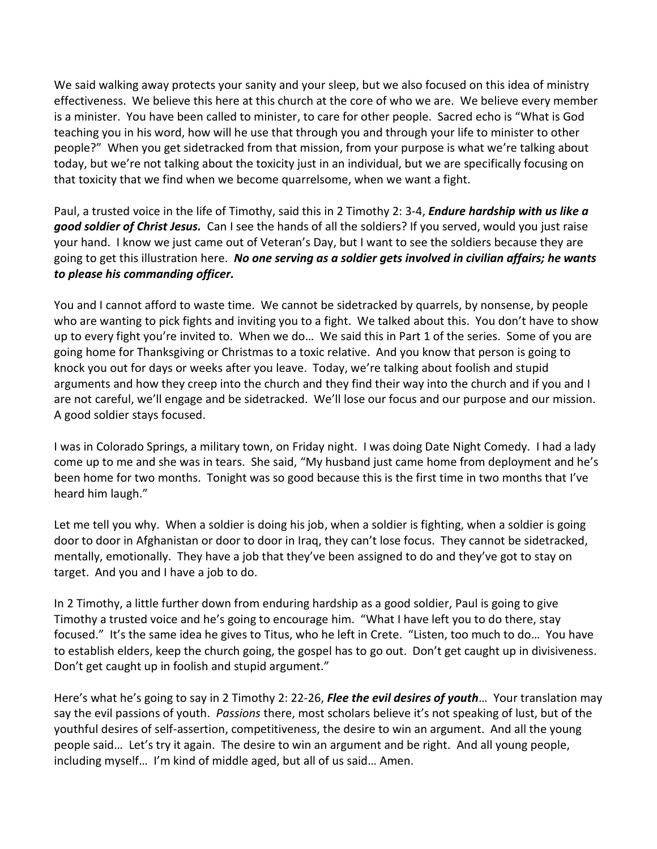We said walking away protects your sanity and your sleep, but we also focused on this idea of ministry effectiveness. We believe this here at this church at the core of who we are. We believe every member is a minister. You have been called to minister, to care for other people. Sacred echo is "What is God teaching you in his word, how will he use that through you and through your life to minister to other people?" When you get sidetracked from that mission, from your purpose is what we're talking about today, but we're not talking about the toxicity just in an individual, but we are specifically focusing on that toxicity that we find when we become quarrelsome, when we want a fight.

Paul, a trusted voice in the life of Timothy, said this in 2 Timothy 2: 3-4, *Endure hardship with us like a good soldier of Christ Jesus.* Can I see the hands of all the soldiers? If you served, would you just raise your hand. I know we just came out of Veteran's Day, but I want to see the soldiers because they are going to get this illustration here. *No one serving as a soldier gets involved in civilian affairs; he wants to please his commanding officer.*

You and I cannot afford to waste time. We cannot be sidetracked by quarrels, by nonsense, by people who are wanting to pick fights and inviting you to a fight. We talked about this. You don't have to show up to every fight you're invited to. When we do… We said this in Part 1 of the series. Some of you are going home for Thanksgiving or Christmas to a toxic relative. And you know that person is going to knock you out for days or weeks after you leave. Today, we're talking about foolish and stupid arguments and how they creep into the church and they find their way into the church and if you and I are not careful, we'll engage and be sidetracked. We'll lose our focus and our purpose and our mission. A good soldier stays focused.

I was in Colorado Springs, a military town, on Friday night. I was doing Date Night Comedy. I had a lady come up to me and she was in tears. She said, "My husband just came home from deployment and he's been home for two months. Tonight was so good because this is the first time in two months that I've heard him laugh."

Let me tell you why. When a soldier is doing his job, when a soldier is fighting, when a soldier is going door to door in Afghanistan or door to door in Iraq, they can't lose focus. They cannot be sidetracked, mentally, emotionally. They have a job that they've been assigned to do and they've got to stay on target. And you and I have a job to do.

In 2 Timothy, a little further down from enduring hardship as a good soldier, Paul is going to give Timothy a trusted voice and he's going to encourage him. "What I have left you to do there, stay focused." It's the same idea he gives to Titus, who he left in Crete. "Listen, too much to do… You have to establish elders, keep the church going, the gospel has to go out. Don't get caught up in divisiveness. Don't get caught up in foolish and stupid argument."

Here's what he's going to say in 2 Timothy 2: 22-26, *Flee the evil desires of youth*… Your translation may say the evil passions of youth. *Passions* there, most scholars believe it's not speaking of lust, but of the youthful desires of self-assertion, competitiveness, the desire to win an argument. And all the young people said… Let's try it again. The desire to win an argument and be right. And all young people, including myself… I'm kind of middle aged, but all of us said… Amen.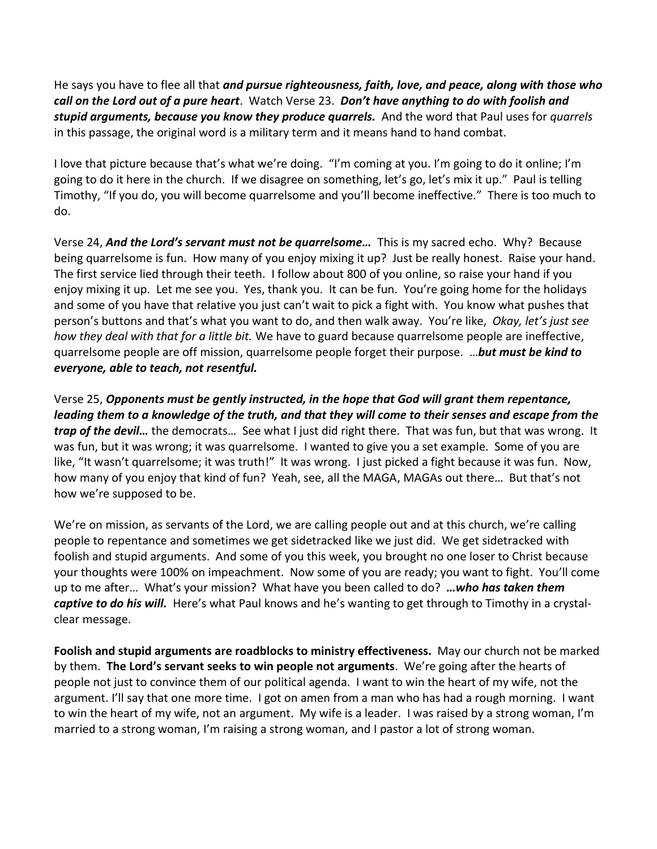He says you have to flee all that *and pursue righteousness, faith, love, and peace, along with those who call on the Lord out of a pure heart*. Watch Verse 23. *Don't have anything to do with foolish and stupid arguments, because you know they produce quarrels.* And the word that Paul uses for *quarrels* in this passage, the original word is a military term and it means hand to hand combat.

I love that picture because that's what we're doing. "I'm coming at you. I'm going to do it online; I'm going to do it here in the church. If we disagree on something, let's go, let's mix it up." Paul is telling Timothy, "If you do, you will become quarrelsome and you'll become ineffective." There is too much to do.

Verse 24, *And the Lord's servant must not be quarrelsome…* This is my sacred echo. Why? Because being quarrelsome is fun. How many of you enjoy mixing it up? Just be really honest. Raise your hand. The first service lied through their teeth. I follow about 800 of you online, so raise your hand if you enjoy mixing it up. Let me see you. Yes, thank you. It can be fun. You're going home for the holidays and some of you have that relative you just can't wait to pick a fight with. You know what pushes that person's buttons and that's what you want to do, and then walk away. You're like, *Okay, let's just see how they deal with that for a little bit.* We have to guard because quarrelsome people are ineffective, quarrelsome people are off mission, quarrelsome people forget their purpose. …*but must be kind to everyone, able to teach, not resentful.*

Verse 25, *Opponents must be gently instructed, in the hope that God will grant them repentance, leading them to a knowledge of the truth, and that they will come to their senses and escape from the trap of the devil…* the democrats… See what I just did right there. That was fun, but that was wrong. It was fun, but it was wrong; it was quarrelsome. I wanted to give you a set example. Some of you are like, "It wasn't quarrelsome; it was truth!" It was wrong. I just picked a fight because it was fun. Now, how many of you enjoy that kind of fun? Yeah, see, all the MAGA, MAGAs out there… But that's not how we're supposed to be.

We're on mission, as servants of the Lord, we are calling people out and at this church, we're calling people to repentance and sometimes we get sidetracked like we just did. We get sidetracked with foolish and stupid arguments. And some of you this week, you brought no one loser to Christ because your thoughts were 100% on impeachment. Now some of you are ready; you want to fight. You'll come up to me after… What's your mission? What have you been called to do? *…who has taken them captive to do his will.* Here's what Paul knows and he's wanting to get through to Timothy in a crystalclear message.

**Foolish and stupid arguments are roadblocks to ministry effectiveness.** May our church not be marked by them. **The Lord's servant seeks to win people not arguments**. We're going after the hearts of people not just to convince them of our political agenda. I want to win the heart of my wife, not the argument. I'll say that one more time. I got on amen from a man who has had a rough morning. I want to win the heart of my wife, not an argument. My wife is a leader. I was raised by a strong woman, I'm married to a strong woman, I'm raising a strong woman, and I pastor a lot of strong woman.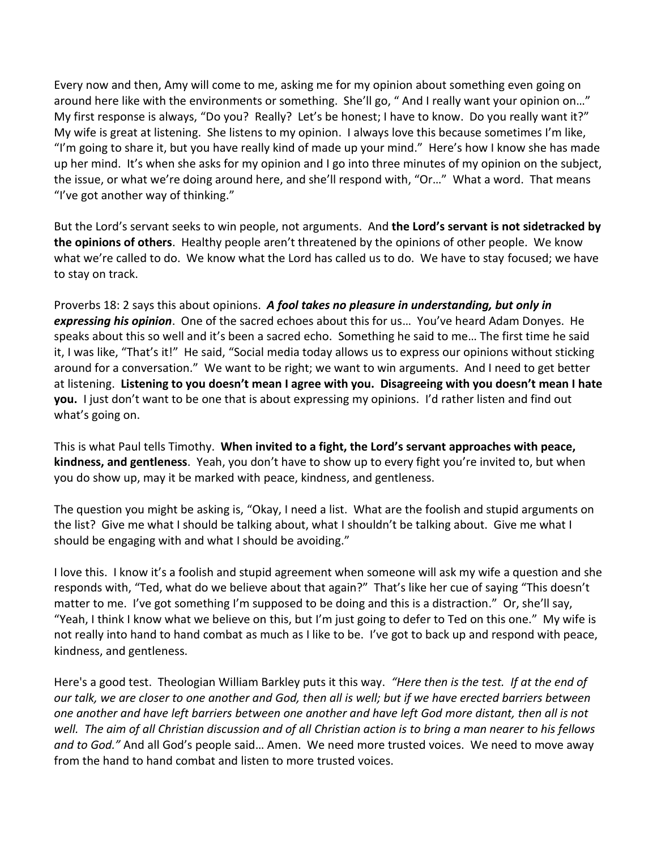Every now and then, Amy will come to me, asking me for my opinion about something even going on around here like with the environments or something. She'll go, " And I really want your opinion on…" My first response is always, "Do you? Really? Let's be honest; I have to know. Do you really want it?" My wife is great at listening. She listens to my opinion. I always love this because sometimes I'm like, "I'm going to share it, but you have really kind of made up your mind." Here's how I know she has made up her mind. It's when she asks for my opinion and I go into three minutes of my opinion on the subject, the issue, or what we're doing around here, and she'll respond with, "Or…" What a word. That means "I've got another way of thinking."

But the Lord's servant seeks to win people, not arguments. And **the Lord's servant is not sidetracked by the opinions of others**. Healthy people aren't threatened by the opinions of other people. We know what we're called to do. We know what the Lord has called us to do. We have to stay focused; we have to stay on track.

Proverbs 18: 2 says this about opinions. *A fool takes no pleasure in understanding, but only in expressing his opinion*. One of the sacred echoes about this for us… You've heard Adam Donyes. He speaks about this so well and it's been a sacred echo. Something he said to me… The first time he said it, I was like, "That's it!" He said, "Social media today allows us to express our opinions without sticking around for a conversation." We want to be right; we want to win arguments. And I need to get better at listening. **Listening to you doesn't mean I agree with you. Disagreeing with you doesn't mean I hate you.** I just don't want to be one that is about expressing my opinions. I'd rather listen and find out what's going on.

This is what Paul tells Timothy. **When invited to a fight, the Lord's servant approaches with peace, kindness, and gentleness**. Yeah, you don't have to show up to every fight you're invited to, but when you do show up, may it be marked with peace, kindness, and gentleness.

The question you might be asking is, "Okay, I need a list. What are the foolish and stupid arguments on the list? Give me what I should be talking about, what I shouldn't be talking about. Give me what I should be engaging with and what I should be avoiding."

I love this. I know it's a foolish and stupid agreement when someone will ask my wife a question and she responds with, "Ted, what do we believe about that again?" That's like her cue of saying "This doesn't matter to me. I've got something I'm supposed to be doing and this is a distraction." Or, she'll say, "Yeah, I think I know what we believe on this, but I'm just going to defer to Ted on this one." My wife is not really into hand to hand combat as much as I like to be. I've got to back up and respond with peace, kindness, and gentleness.

Here's a good test. Theologian William Barkley puts it this way. *"Here then is the test. If at the end of our talk, we are closer to one another and God, then all is well; but if we have erected barriers between one another and have left barriers between one another and have left God more distant, then all is not well. The aim of all Christian discussion and of all Christian action is to bring a man nearer to his fellows and to God."* And all God's people said… Amen. We need more trusted voices. We need to move away from the hand to hand combat and listen to more trusted voices.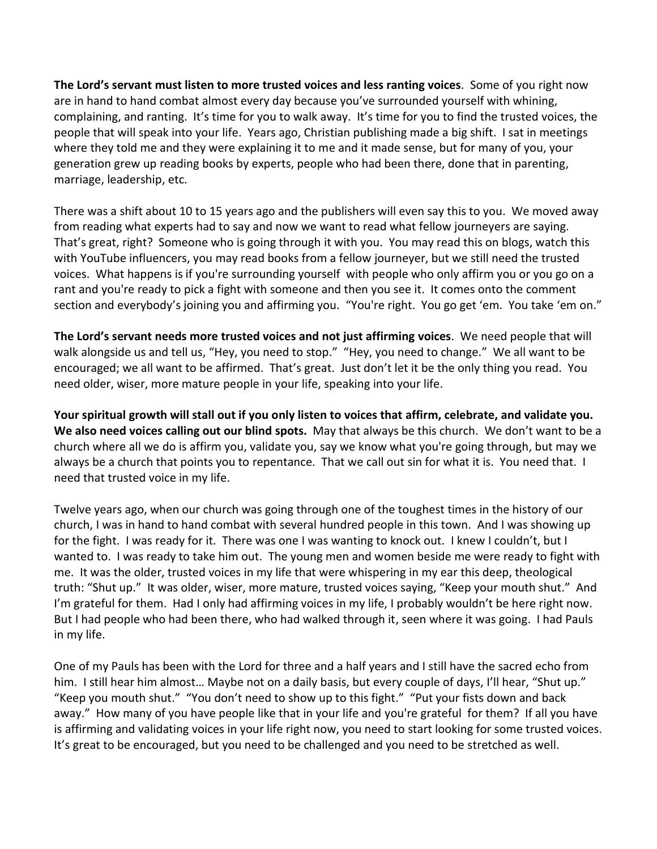**The Lord's servant must listen to more trusted voices and less ranting voices**. Some of you right now are in hand to hand combat almost every day because you've surrounded yourself with whining, complaining, and ranting. It's time for you to walk away. It's time for you to find the trusted voices, the people that will speak into your life. Years ago, Christian publishing made a big shift. I sat in meetings where they told me and they were explaining it to me and it made sense, but for many of you, your generation grew up reading books by experts, people who had been there, done that in parenting, marriage, leadership, etc.

There was a shift about 10 to 15 years ago and the publishers will even say this to you. We moved away from reading what experts had to say and now we want to read what fellow journeyers are saying. That's great, right? Someone who is going through it with you. You may read this on blogs, watch this with YouTube influencers, you may read books from a fellow journeyer, but we still need the trusted voices. What happens is if you're surrounding yourself with people who only affirm you or you go on a rant and you're ready to pick a fight with someone and then you see it. It comes onto the comment section and everybody's joining you and affirming you. "You're right. You go get 'em. You take 'em on."

**The Lord's servant needs more trusted voices and not just affirming voices**. We need people that will walk alongside us and tell us, "Hey, you need to stop." "Hey, you need to change." We all want to be encouraged; we all want to be affirmed. That's great. Just don't let it be the only thing you read. You need older, wiser, more mature people in your life, speaking into your life.

**Your spiritual growth will stall out if you only listen to voices that affirm, celebrate, and validate you. We also need voices calling out our blind spots.** May that always be this church. We don't want to be a church where all we do is affirm you, validate you, say we know what you're going through, but may we always be a church that points you to repentance. That we call out sin for what it is. You need that. I need that trusted voice in my life.

Twelve years ago, when our church was going through one of the toughest times in the history of our church, I was in hand to hand combat with several hundred people in this town. And I was showing up for the fight. I was ready for it. There was one I was wanting to knock out. I knew I couldn't, but I wanted to. I was ready to take him out. The young men and women beside me were ready to fight with me. It was the older, trusted voices in my life that were whispering in my ear this deep, theological truth: "Shut up." It was older, wiser, more mature, trusted voices saying, "Keep your mouth shut." And I'm grateful for them. Had I only had affirming voices in my life, I probably wouldn't be here right now. But I had people who had been there, who had walked through it, seen where it was going. I had Pauls in my life.

One of my Pauls has been with the Lord for three and a half years and I still have the sacred echo from him. I still hear him almost... Maybe not on a daily basis, but every couple of days, I'll hear, "Shut up." "Keep you mouth shut." "You don't need to show up to this fight." "Put your fists down and back away." How many of you have people like that in your life and you're grateful for them? If all you have is affirming and validating voices in your life right now, you need to start looking for some trusted voices. It's great to be encouraged, but you need to be challenged and you need to be stretched as well.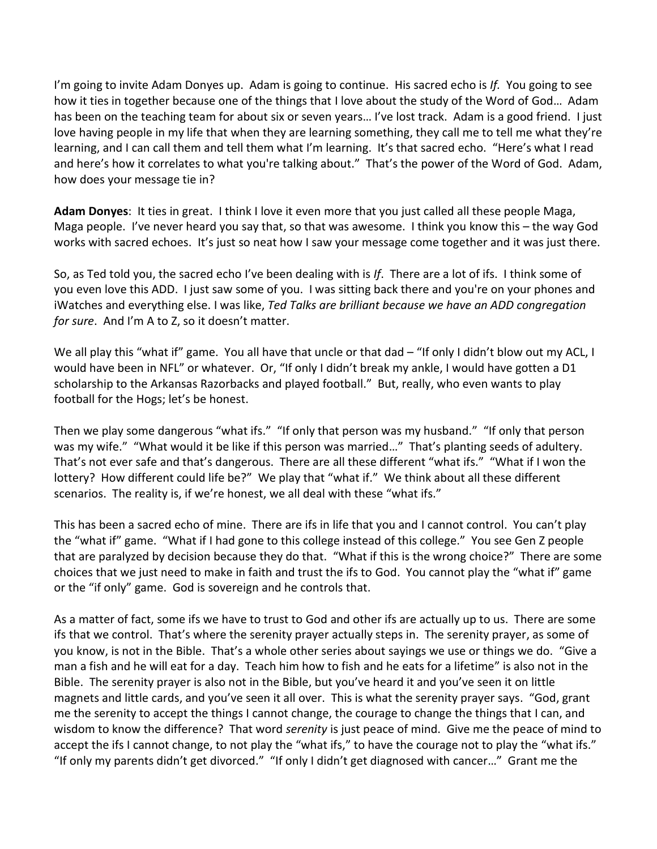I'm going to invite Adam Donyes up. Adam is going to continue. His sacred echo is *If.* You going to see how it ties in together because one of the things that I love about the study of the Word of God... Adam has been on the teaching team for about six or seven years… I've lost track. Adam is a good friend. I just love having people in my life that when they are learning something, they call me to tell me what they're learning, and I can call them and tell them what I'm learning. It's that sacred echo. "Here's what I read and here's how it correlates to what you're talking about." That's the power of the Word of God. Adam, how does your message tie in?

**Adam Donyes**: It ties in great. I think I love it even more that you just called all these people Maga, Maga people. I've never heard you say that, so that was awesome. I think you know this – the way God works with sacred echoes. It's just so neat how I saw your message come together and it was just there.

So, as Ted told you, the sacred echo I've been dealing with is *If*. There are a lot of ifs. I think some of you even love this ADD. I just saw some of you. I was sitting back there and you're on your phones and iWatches and everything else. I was like, *Ted Talks are brilliant because we have an ADD congregation for sure*. And I'm A to Z, so it doesn't matter.

We all play this "what if" game. You all have that uncle or that dad – "If only I didn't blow out my ACL, I would have been in NFL" or whatever. Or, "If only I didn't break my ankle, I would have gotten a D1 scholarship to the Arkansas Razorbacks and played football." But, really, who even wants to play football for the Hogs; let's be honest.

Then we play some dangerous "what ifs." "If only that person was my husband." "If only that person was my wife." "What would it be like if this person was married…" That's planting seeds of adultery. That's not ever safe and that's dangerous. There are all these different "what ifs." "What if I won the lottery? How different could life be?" We play that "what if." We think about all these different scenarios. The reality is, if we're honest, we all deal with these "what ifs."

This has been a sacred echo of mine. There are ifs in life that you and I cannot control. You can't play the "what if" game. "What if I had gone to this college instead of this college." You see Gen Z people that are paralyzed by decision because they do that. "What if this is the wrong choice?" There are some choices that we just need to make in faith and trust the ifs to God. You cannot play the "what if" game or the "if only" game. God is sovereign and he controls that.

As a matter of fact, some ifs we have to trust to God and other ifs are actually up to us. There are some ifs that we control. That's where the serenity prayer actually steps in. The serenity prayer, as some of you know, is not in the Bible. That's a whole other series about sayings we use or things we do. "Give a man a fish and he will eat for a day. Teach him how to fish and he eats for a lifetime" is also not in the Bible. The serenity prayer is also not in the Bible, but you've heard it and you've seen it on little magnets and little cards, and you've seen it all over. This is what the serenity prayer says. "God, grant me the serenity to accept the things I cannot change, the courage to change the things that I can, and wisdom to know the difference? That word *serenity* is just peace of mind. Give me the peace of mind to accept the ifs I cannot change, to not play the "what ifs," to have the courage not to play the "what ifs." "If only my parents didn't get divorced." "If only I didn't get diagnosed with cancer…" Grant me the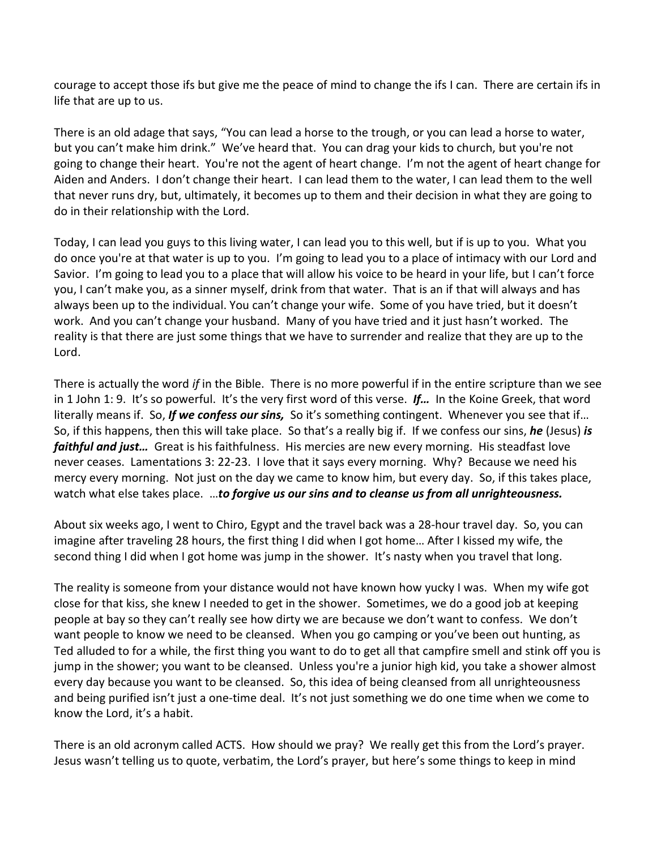courage to accept those ifs but give me the peace of mind to change the ifs I can. There are certain ifs in life that are up to us.

There is an old adage that says, "You can lead a horse to the trough, or you can lead a horse to water, but you can't make him drink." We've heard that. You can drag your kids to church, but you're not going to change their heart. You're not the agent of heart change. I'm not the agent of heart change for Aiden and Anders. I don't change their heart. I can lead them to the water, I can lead them to the well that never runs dry, but, ultimately, it becomes up to them and their decision in what they are going to do in their relationship with the Lord.

Today, I can lead you guys to this living water, I can lead you to this well, but if is up to you. What you do once you're at that water is up to you. I'm going to lead you to a place of intimacy with our Lord and Savior. I'm going to lead you to a place that will allow his voice to be heard in your life, but I can't force you, I can't make you, as a sinner myself, drink from that water. That is an if that will always and has always been up to the individual. You can't change your wife. Some of you have tried, but it doesn't work. And you can't change your husband. Many of you have tried and it just hasn't worked. The reality is that there are just some things that we have to surrender and realize that they are up to the Lord.

There is actually the word *if* in the Bible. There is no more powerful if in the entire scripture than we see in 1 John 1: 9. It's so powerful. It's the very first word of this verse. *If…* In the Koine Greek, that word literally means if. So, *If we confess our sins,* So it's something contingent. Whenever you see that if… So, if this happens, then this will take place. So that's a really big if. If we confess our sins, *he* (Jesus) *is faithful and just…* Great is his faithfulness. His mercies are new every morning. His steadfast love never ceases. Lamentations 3: 22-23. I love that it says every morning. Why? Because we need his mercy every morning. Not just on the day we came to know him, but every day. So, if this takes place, watch what else takes place. …*to forgive us our sins and to cleanse us from all unrighteousness.*

About six weeks ago, I went to Chiro, Egypt and the travel back was a 28-hour travel day. So, you can imagine after traveling 28 hours, the first thing I did when I got home… After I kissed my wife, the second thing I did when I got home was jump in the shower. It's nasty when you travel that long.

The reality is someone from your distance would not have known how yucky I was. When my wife got close for that kiss, she knew I needed to get in the shower. Sometimes, we do a good job at keeping people at bay so they can't really see how dirty we are because we don't want to confess. We don't want people to know we need to be cleansed. When you go camping or you've been out hunting, as Ted alluded to for a while, the first thing you want to do to get all that campfire smell and stink off you is jump in the shower; you want to be cleansed. Unless you're a junior high kid, you take a shower almost every day because you want to be cleansed. So, this idea of being cleansed from all unrighteousness and being purified isn't just a one-time deal. It's not just something we do one time when we come to know the Lord, it's a habit.

There is an old acronym called ACTS. How should we pray? We really get this from the Lord's prayer. Jesus wasn't telling us to quote, verbatim, the Lord's prayer, but here's some things to keep in mind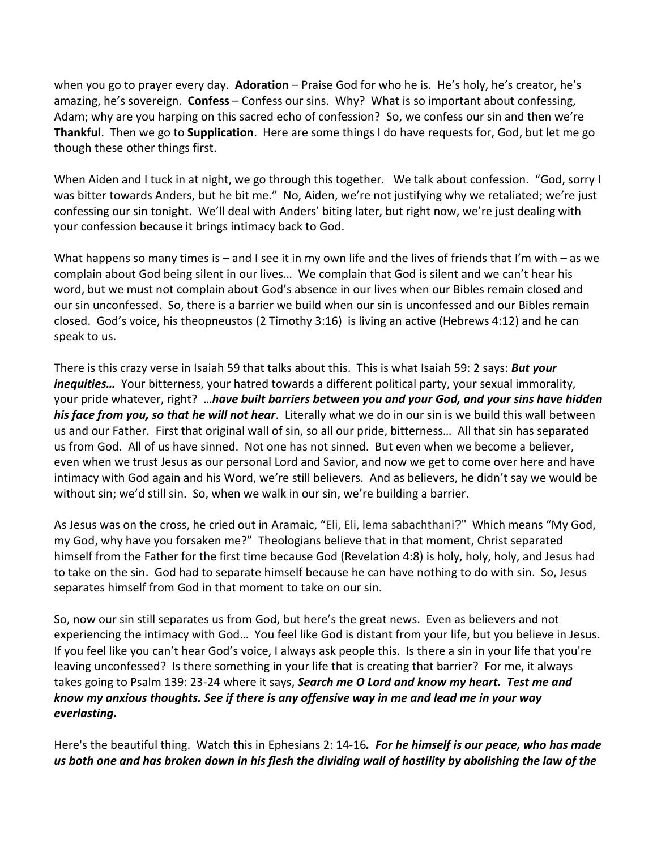when you go to prayer every day. **Adoration** – Praise God for who he is. He's holy, he's creator, he's amazing, he's sovereign. **Confess** – Confess our sins. Why? What is so important about confessing, Adam; why are you harping on this sacred echo of confession? So, we confess our sin and then we're **Thankful**. Then we go to **Supplication**. Here are some things I do have requests for, God, but let me go though these other things first.

When Aiden and I tuck in at night, we go through this together. We talk about confession. "God, sorry I was bitter towards Anders, but he bit me." No, Aiden, we're not justifying why we retaliated; we're just confessing our sin tonight. We'll deal with Anders' biting later, but right now, we're just dealing with your confession because it brings intimacy back to God.

What happens so many times is – and I see it in my own life and the lives of friends that I'm with – as we complain about God being silent in our lives… We complain that God is silent and we can't hear his word, but we must not complain about God's absence in our lives when our Bibles remain closed and our sin unconfessed. So, there is a barrier we build when our sin is unconfessed and our Bibles remain closed. God's voice, his theopneustos (2 Timothy 3:16) is living an active (Hebrews 4:12) and he can speak to us.

There is this crazy verse in Isaiah 59 that talks about this. This is what Isaiah 59: 2 says: *But your inequities…* Your bitterness, your hatred towards a different political party, your sexual immorality, your pride whatever, right? …*have built barriers between you and your God, and your sins have hidden his face from you, so that he will not hear*. Literally what we do in our sin is we build this wall between us and our Father. First that original wall of sin, so all our pride, bitterness… All that sin has separated us from God. All of us have sinned. Not one has not sinned. But even when we become a believer, even when we trust Jesus as our personal Lord and Savior, and now we get to come over here and have intimacy with God again and his Word, we're still believers. And as believers, he didn't say we would be without sin; we'd still sin. So, when we walk in our sin, we're building a barrier.

As Jesus was on the cross, he cried out in Aramaic, "Eli, Eli, lema sabachthani?" Which means "My God, my God, why have you forsaken me?" Theologians believe that in that moment, Christ separated himself from the Father for the first time because God (Revelation 4:8) is holy, holy, holy, and Jesus had to take on the sin. God had to separate himself because he can have nothing to do with sin. So, Jesus separates himself from God in that moment to take on our sin.

So, now our sin still separates us from God, but here's the great news. Even as believers and not experiencing the intimacy with God… You feel like God is distant from your life, but you believe in Jesus. If you feel like you can't hear God's voice, I always ask people this. Is there a sin in your life that you're leaving unconfessed? Is there something in your life that is creating that barrier? For me, it always takes going to Psalm 139: 23-24 where it says, *Search me O Lord and know my heart. Test me and know my anxious thoughts. See if there is any offensive way in me and lead me in your way everlasting.*

Here's the beautiful thing. Watch this in Ephesians 2: 14-16*. For he himself is our peace, who has made us both one and has broken down in his flesh the dividing wall of hostility by abolishing the law of the*